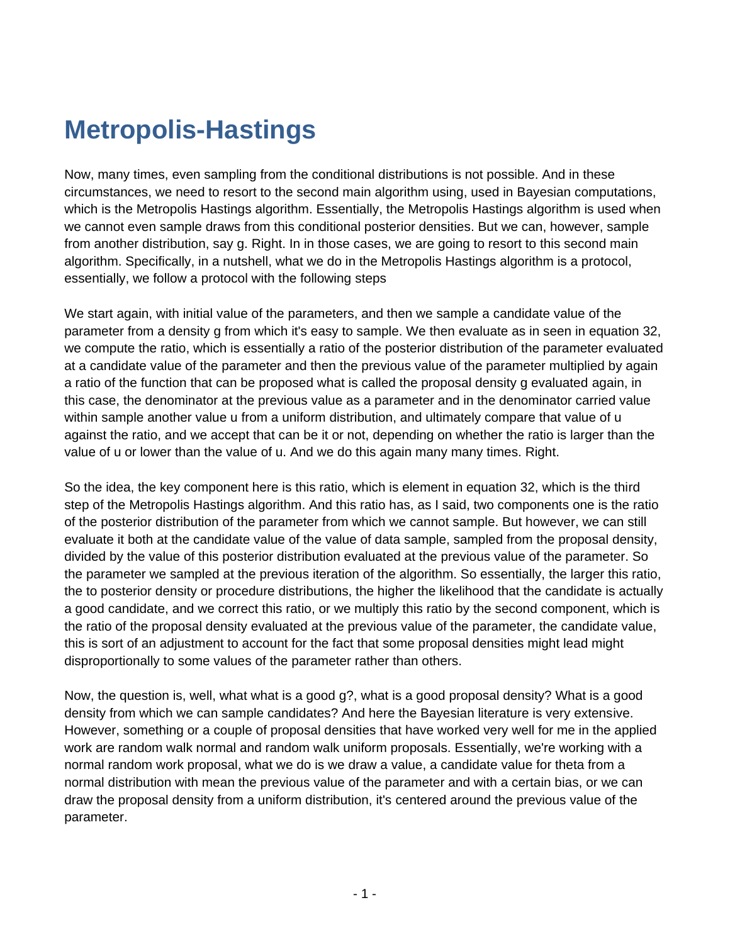## **Metropolis-Hastings**

Now, many times, even sampling from the conditional distributions is not possible. And in these circumstances, we need to resort to the second main algorithm using, used in Bayesian computations, which is the Metropolis Hastings algorithm. Essentially, the Metropolis Hastings algorithm is used when we cannot even sample draws from this conditional posterior densities. But we can, however, sample from another distribution, say g. Right. In in those cases, we are going to resort to this second main algorithm. Specifically, in a nutshell, what we do in the Metropolis Hastings algorithm is a protocol, essentially, we follow a protocol with the following steps

We start again, with initial value of the parameters, and then we sample a candidate value of the parameter from a density g from which it's easy to sample. We then evaluate as in seen in equation 32, we compute the ratio, which is essentially a ratio of the posterior distribution of the parameter evaluated at a candidate value of the parameter and then the previous value of the parameter multiplied by again a ratio of the function that can be proposed what is called the proposal density g evaluated again, in this case, the denominator at the previous value as a parameter and in the denominator carried value within sample another value u from a uniform distribution, and ultimately compare that value of u against the ratio, and we accept that can be it or not, depending on whether the ratio is larger than the value of u or lower than the value of u. And we do this again many many times. Right.

So the idea, the key component here is this ratio, which is element in equation 32, which is the third step of the Metropolis Hastings algorithm. And this ratio has, as I said, two components one is the ratio of the posterior distribution of the parameter from which we cannot sample. But however, we can still evaluate it both at the candidate value of the value of data sample, sampled from the proposal density, divided by the value of this posterior distribution evaluated at the previous value of the parameter. So the parameter we sampled at the previous iteration of the algorithm. So essentially, the larger this ratio, the to posterior density or procedure distributions, the higher the likelihood that the candidate is actually a good candidate, and we correct this ratio, or we multiply this ratio by the second component, which is the ratio of the proposal density evaluated at the previous value of the parameter, the candidate value, this is sort of an adjustment to account for the fact that some proposal densities might lead might disproportionally to some values of the parameter rather than others.

Now, the question is, well, what what is a good g?, what is a good proposal density? What is a good density from which we can sample candidates? And here the Bayesian literature is very extensive. However, something or a couple of proposal densities that have worked very well for me in the applied work are random walk normal and random walk uniform proposals. Essentially, we're working with a normal random work proposal, what we do is we draw a value, a candidate value for theta from a normal distribution with mean the previous value of the parameter and with a certain bias, or we can draw the proposal density from a uniform distribution, it's centered around the previous value of the parameter.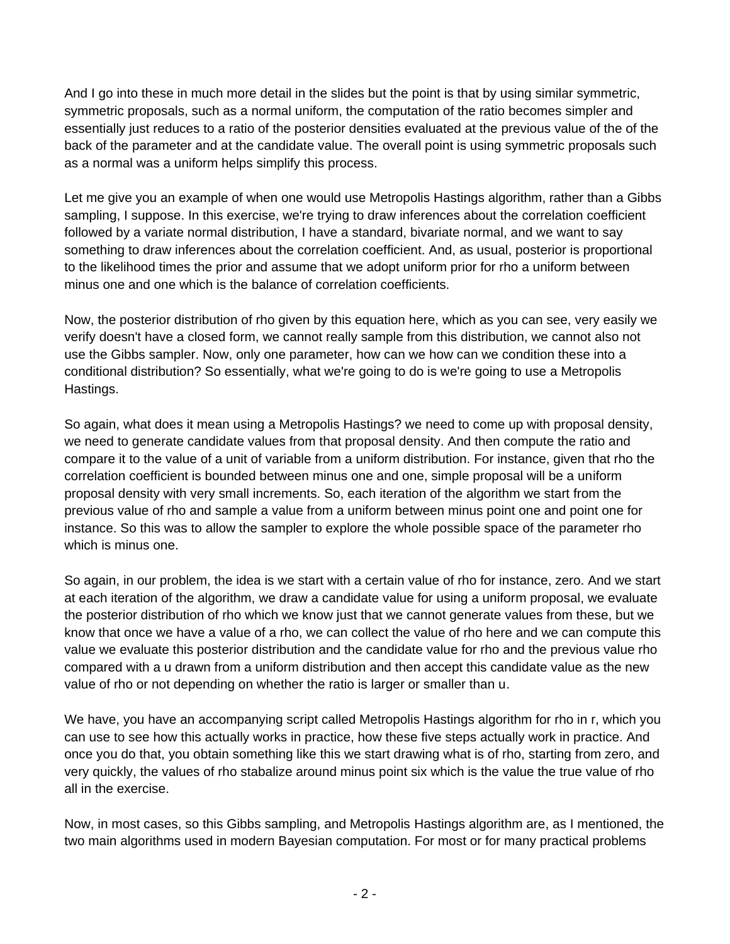And I go into these in much more detail in the slides but the point is that by using similar symmetric, symmetric proposals, such as a normal uniform, the computation of the ratio becomes simpler and essentially just reduces to a ratio of the posterior densities evaluated at the previous value of the of the back of the parameter and at the candidate value. The overall point is using symmetric proposals such as a normal was a uniform helps simplify this process.

Let me give you an example of when one would use Metropolis Hastings algorithm, rather than a Gibbs sampling, I suppose. In this exercise, we're trying to draw inferences about the correlation coefficient followed by a variate normal distribution, I have a standard, bivariate normal, and we want to say something to draw inferences about the correlation coefficient. And, as usual, posterior is proportional to the likelihood times the prior and assume that we adopt uniform prior for rho a uniform between minus one and one which is the balance of correlation coefficients.

Now, the posterior distribution of rho given by this equation here, which as you can see, very easily we verify doesn't have a closed form, we cannot really sample from this distribution, we cannot also not use the Gibbs sampler. Now, only one parameter, how can we how can we condition these into a conditional distribution? So essentially, what we're going to do is we're going to use a Metropolis Hastings.

So again, what does it mean using a Metropolis Hastings? we need to come up with proposal density, we need to generate candidate values from that proposal density. And then compute the ratio and compare it to the value of a unit of variable from a uniform distribution. For instance, given that rho the correlation coefficient is bounded between minus one and one, simple proposal will be a uniform proposal density with very small increments. So, each iteration of the algorithm we start from the previous value of rho and sample a value from a uniform between minus point one and point one for instance. So this was to allow the sampler to explore the whole possible space of the parameter rho which is minus one.

So again, in our problem, the idea is we start with a certain value of rho for instance, zero. And we start at each iteration of the algorithm, we draw a candidate value for using a uniform proposal, we evaluate the posterior distribution of rho which we know just that we cannot generate values from these, but we know that once we have a value of a rho, we can collect the value of rho here and we can compute this value we evaluate this posterior distribution and the candidate value for rho and the previous value rho compared with a u drawn from a uniform distribution and then accept this candidate value as the new value of rho or not depending on whether the ratio is larger or smaller than u.

We have, you have an accompanying script called Metropolis Hastings algorithm for rho in r, which you can use to see how this actually works in practice, how these five steps actually work in practice. And once you do that, you obtain something like this we start drawing what is of rho, starting from zero, and very quickly, the values of rho stabalize around minus point six which is the value the true value of rho all in the exercise.

Now, in most cases, so this Gibbs sampling, and Metropolis Hastings algorithm are, as I mentioned, the two main algorithms used in modern Bayesian computation. For most or for many practical problems